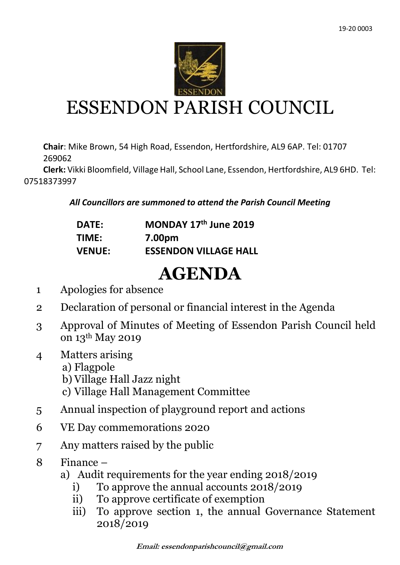

## ESSENDON PARISH COUNCIL

**Chair**: Mike Brown, 54 High Road, Essendon, Hertfordshire, AL9 6AP. Tel: 01707 269062

 **Clerk:** Vikki Bloomfield, Village Hall, School Lane, Essendon, Hertfordshire, AL9 6HD. Tel: 07518373997

*All Councillors are summoned to attend the Parish Council Meeting*

| <b>DATE:</b>  | MONDAY 17th June 2019        |
|---------------|------------------------------|
| TIME:         | 7.00pm                       |
| <b>VENUE:</b> | <b>ESSENDON VILLAGE HALL</b> |

## **AGENDA**

- 1 Apologies for absence
- 2 Declaration of personal or financial interest in the Agenda
- 3 Approval of Minutes of Meeting of Essendon Parish Council held on 13th May 2019
- 4 Matters arising
	- a) Flagpole
	- b) Village Hall Jazz night
	- c) Village Hall Management Committee
- 5 Annual inspection of playground report and actions
- 6 VE Day commemorations 2020
- 7 Any matters raised by the public
- 8 Finance
	- a) Audit requirements for the year ending 2018/2019
		- i) To approve the annual accounts 2018/2019
		- ii) To approve certificate of exemption
		- iii) To approve section 1, the annual Governance Statement 2018/2019